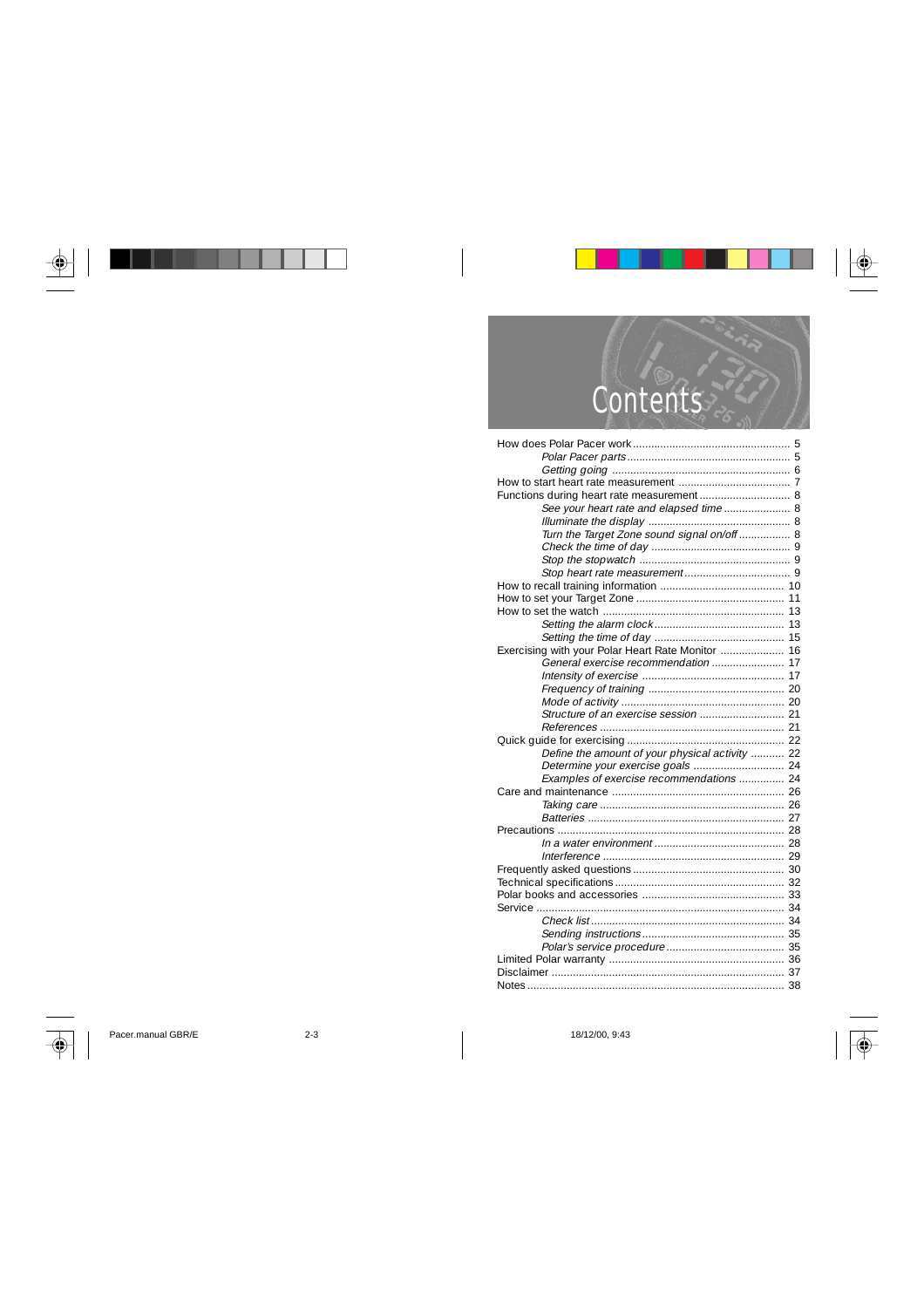

| See your heart rate and elapsed time  8           |  |
|---------------------------------------------------|--|
|                                                   |  |
| Turn the Target Zone sound signal on/off  8       |  |
|                                                   |  |
|                                                   |  |
|                                                   |  |
|                                                   |  |
|                                                   |  |
|                                                   |  |
|                                                   |  |
|                                                   |  |
| Exercising with your Polar Heart Rate Monitor  16 |  |
| General exercise recommendation  17               |  |
|                                                   |  |
|                                                   |  |
|                                                   |  |
|                                                   |  |
|                                                   |  |
|                                                   |  |
| Define the amount of your physical activity  22   |  |
|                                                   |  |
| Examples of exercise recommendations  24          |  |
|                                                   |  |
|                                                   |  |
|                                                   |  |
|                                                   |  |
|                                                   |  |
|                                                   |  |
|                                                   |  |
|                                                   |  |
|                                                   |  |
|                                                   |  |
|                                                   |  |
|                                                   |  |
|                                                   |  |
|                                                   |  |
|                                                   |  |
|                                                   |  |

 $\left\vert \bigoplus \right\vert$ 

Pacer.manual GBR/E 2-3 2-3 18/12/00, 9:43

 $\sqrt{\Phi}$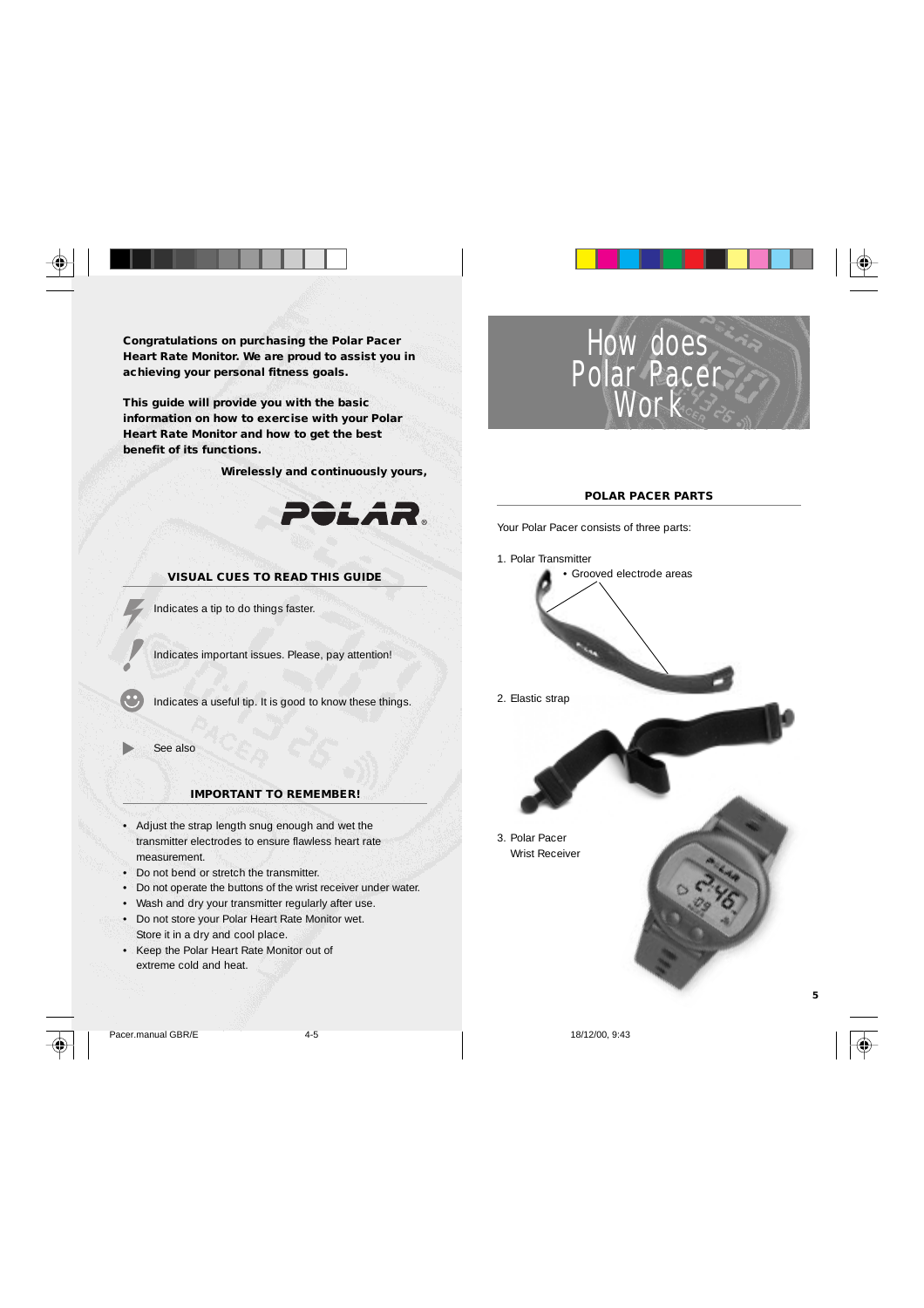**Congratulations on purchasing the Polar Pacer Heart Rate Monitor. We are proud to assist you in achieving your personal fitness goals.**

**This guide will provide you with the basic information on how to exercise with your Polar Heart Rate Monitor and how to get the best benefit of its functions.**

 **Wirelessly and continuously yours,**



### **VISUAL CUES TO READ THIS GUIDE**

Indicates a tip to do things faster.

Indicates important issues. Please, pay attention!

Indicates a useful tip. It is good to know these things.

See also

#### **IMPORTANT TO REMEMBER!**

- Adjust the strap length snug enough and wet the transmitter electrodes to ensure flawless heart rate measurement.
- Do not bend or stretch the transmitter.
- Do not operate the buttons of the wrist receiver under water.
- Wash and dry your transmitter regularly after use.
- Do not store your Polar Heart Rate Monitor wet.
- Store it in a dry and cool place.
- Keep the Polar Heart Rate Monitor out of extreme cold and heat.







#### **POLAR PACER PARTS**

Your Polar Pacer consists of three parts:

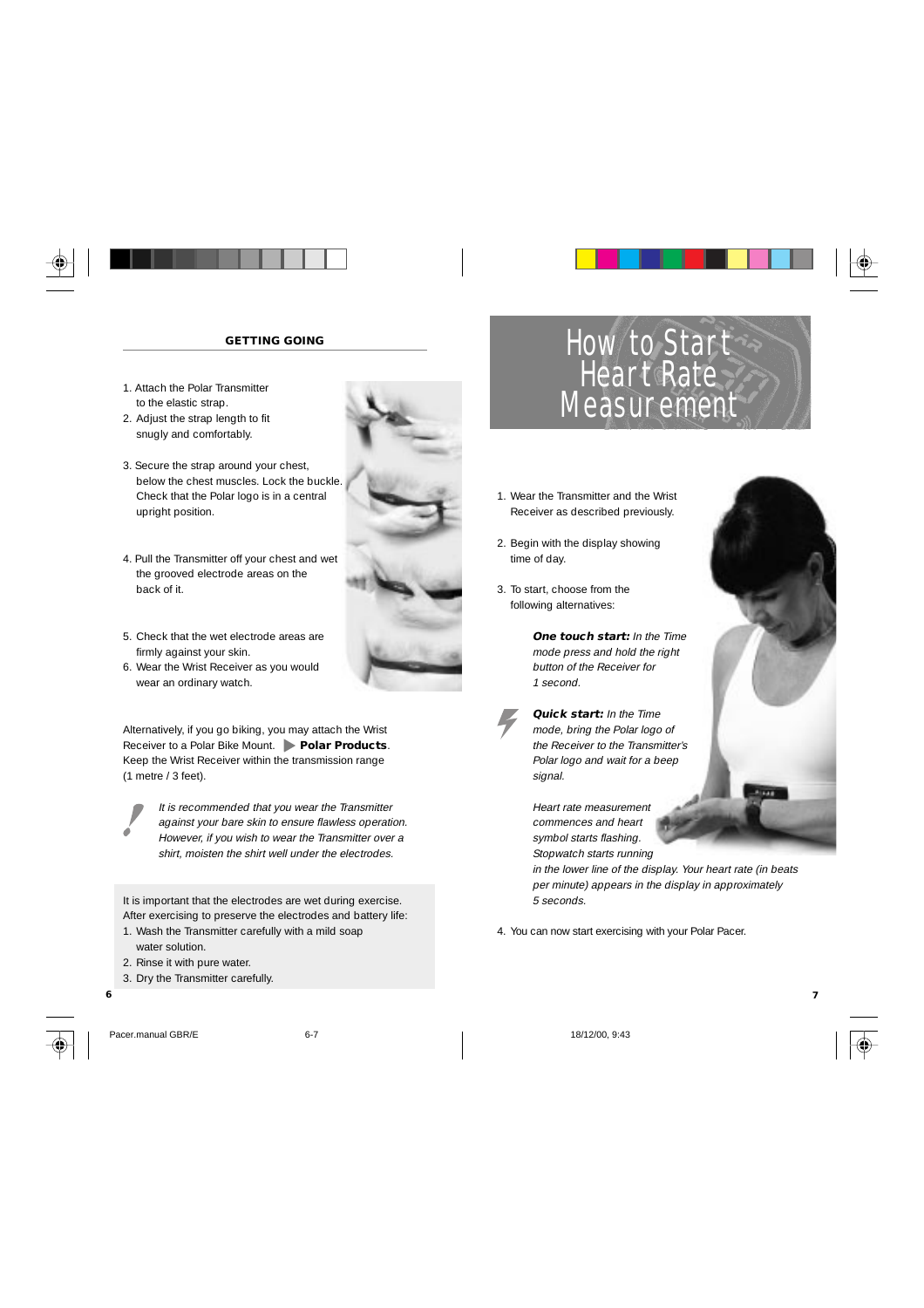

#### **GETTING GOING**

- 1. Attach the Polar Transmitter to the elastic strap.
- 2. Adjust the strap length to fit snugly and comfortably.
- 3. Secure the strap around your chest, below the chest muscles. Lock the buckle. Check that the Polar logo is in a central upright position.
- 4. Pull the Transmitter off your chest and wet the grooved electrode areas on the back of it.
- 5. Check that the wet electrode areas are firmly against your skin.
- 6. Wear the Wrist Receiver as you would wear an ordinary watch.

Alternatively, if you go biking, you may attach the Wrist Receiver to a Polar Bike Mount. **Polar Products** Keep the Wrist Receiver within the transmission range (1 metre / 3 feet).



It is recommended that you wear the Transmitter against your bare skin to ensure flawless operation. However, if you wish to wear the Transmitter over a shirt, moisten the shirt well under the electrodes.

It is important that the electrodes are wet during exercise. After exercising to preserve the electrodes and battery life:

- 1. Wash the Transmitter carefully with a mild soap water solution.
- 2. Rinse it with pure water.
- 3. Dry the Transmitter carefully.



Pacer.manual GBR/E 6-7 6-7 18/12/00, 9:43



- 1. Wear the Transmitter and the Wrist Receiver as described previously.
- 2. Begin with the display showing time of day.
- 3. To start, choose from the following alternatives:

**One touch start:** In the Time mode press and hold the right button of the Receiver for 1 second.

**Quick start:** In the Time mode, bring the Polar logo of the Receiver to the Transmitter's Polar logo and wait for a beep signal.

Heart rate measurement commences and heart symbol starts flashing. Stopwatch starts running

in the lower line of the display. Your heart rate (in beats per minute) appears in the display in approximately 5 seconds.

4. You can now start exercising with your Polar Pacer.

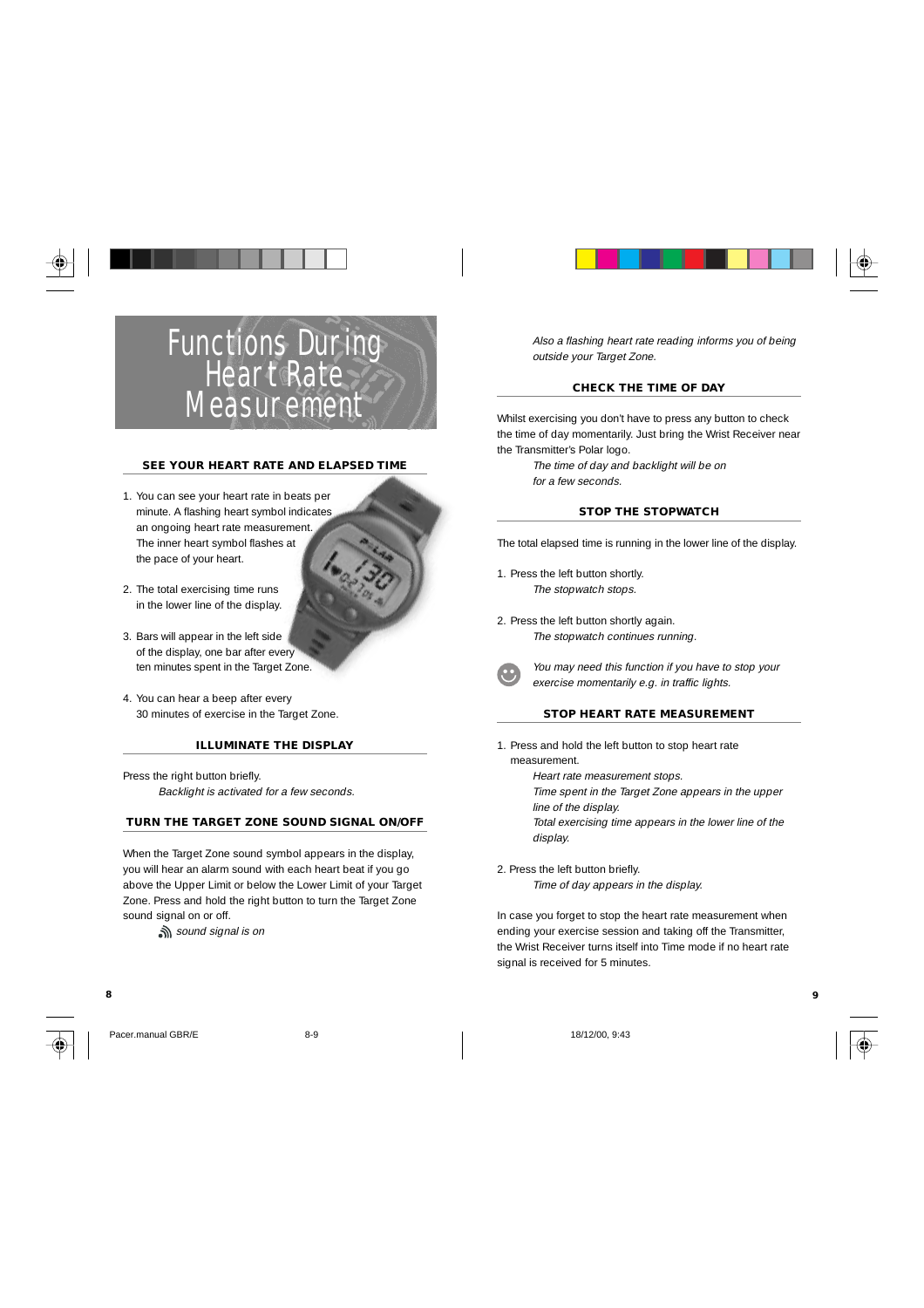

#### **SEE YOUR HEART RATE AND ELAPSED TIME**

- 1. You can see your heart rate in beats per minute. A flashing heart symbol indicates an ongoing heart rate measurement. The inner heart symbol flashes at the pace of your heart.
- 2. The total exercising time runs in the lower line of the display.
- 3. Bars will appear in the left side of the display, one bar after every ten minutes spent in the Target Zone.
- 4. You can hear a beep after every 30 minutes of exercise in the Target Zone.

#### **ILLUMINATE THE DISPLAY**

Press the right button briefly. Backlight is activated for a few seconds.

#### **TURN THE TARGET ZONE SOUND SIGNAL ON/OFF**

When the Target Zone sound symbol appears in the display, you will hear an alarm sound with each heart beat if you go above the Upper Limit or below the Lower Limit of your Target Zone. Press and hold the right button to turn the Target Zone sound signal on or off.

sound signal is on



Pacer.manual GBR/E 8-9 18/12/00, 9:43



Also a flashing heart rate reading informs you of being outside your Target Zone.

#### **CHECK THE TIME OF DAY**

Whilst exercising you don't have to press any button to check the time of day momentarily. Just bring the Wrist Receiver near the Transmitter's Polar logo.

> The time of day and backlight will be on for a few seconds.

#### **STOP THE STOPWATCH**

The total elapsed time is running in the lower line of the display.

- 1. Press the left button shortly. The stopwatch stops.
- 2. Press the left button shortly again. The stopwatch continues running.



You may need this function if you have to stop your exercise momentarily e.g. in traffic lights.

#### **STOP HEART RATE MEASUREMENT**

- 1. Press and hold the left button to stop heart rate
	- measurement. Heart rate measurement stops. Time spent in the Target Zone appears in the upper line of the display.

Total exercising time appears in the lower line of the display.

2. Press the left button briefly. Time of day appears in the display.

In case you forget to stop the heart rate measurement when ending your exercise session and taking off the Transmitter, the Wrist Receiver turns itself into Time mode if no heart rate signal is received for 5 minutes.

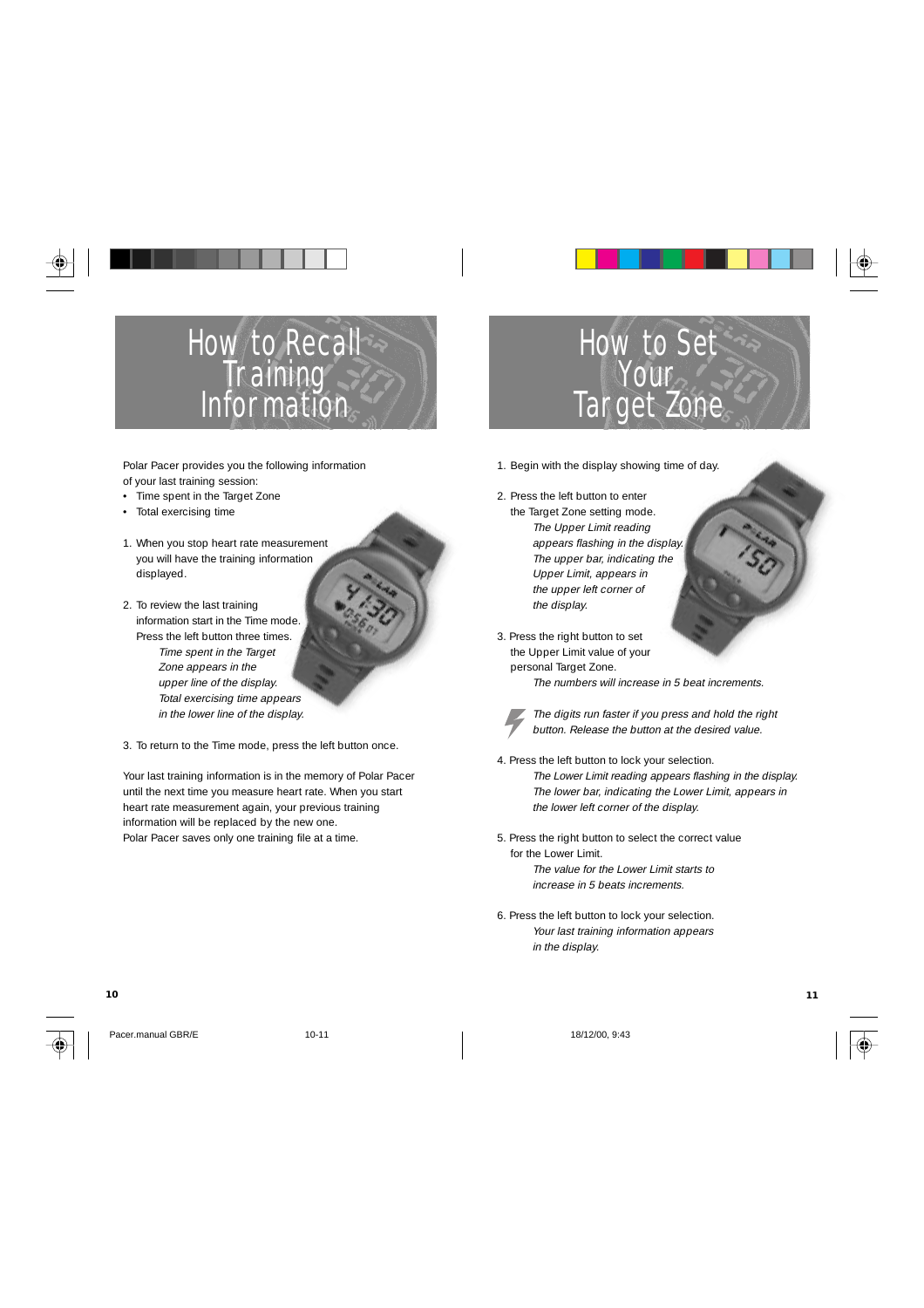

Polar Pacer provides you the following information of your last training session:

- Time spent in the Target Zone
- Total exercising time
- 1. When you stop heart rate measurement you will have the training information displayed.
- 2. To review the last training information start in the Time mode. Press the left button three times. Time spent in the Target Zone appears in the upper line of the display. Total exercising time appears in the lower line of the display.
- 3. To return to the Time mode, press the left button once.

Your last training information is in the memory of Polar Pacer until the next time you measure heart rate. When you start heart rate measurement again, your previous training information will be replaced by the new one. Polar Pacer saves only one training file at a time.



1. Begin with the display showing time of day.

- 2. Press the left button to enter the Target Zone setting mode. The Upper Limit reading appears flashing in the display. The upper bar, indicating the Upper Limit, appears in the upper left corner of the display.
- 3. Press the right button to set the Upper Limit value of your personal Target Zone.

The numbers will increase in 5 beat increments.

- The digits run faster if you press and hold the right button. Release the button at the desired value.
- 4. Press the left button to lock your selection. The Lower Limit reading appears flashing in the display. The lower bar, indicating the Lower Limit, appears in the lower left corner of the display.
- 5. Press the right button to select the correct value for the Lower Limit. The value for the Lower Limit starts to increase in 5 beats increments.
- 6. Press the left button to lock your selection. Your last training information appears in the display.

Pacer.manual GBR/E 10-11 10-11 18/12/00, 9:43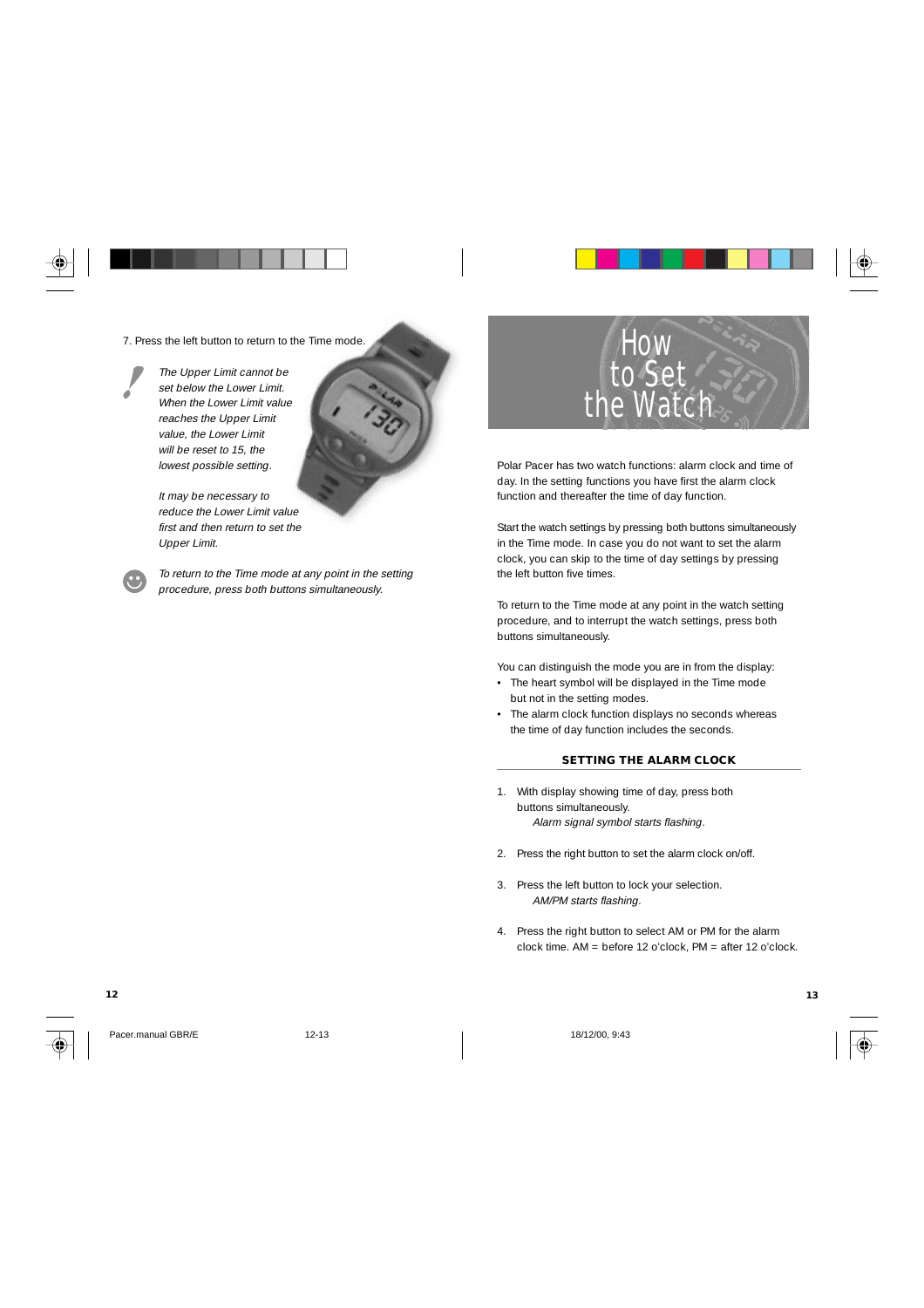7. Press the left button to return to the Time mode.

The Upper Limit cannot be set below the Lower Limit. When the Lower Limit value reaches the Upper Limit value, the Lower Limit will be reset to 15, the lowest possible setting.

> It may be necessary to reduce the Lower Limit value first and then return to set the Upper Limit.

To return to the Time mode at any point in the setting procedure, press both buttons simultaneously.



Polar Pacer has two watch functions: alarm clock and time of day. In the setting functions you have first the alarm clock function and thereafter the time of day function.

Start the watch settings by pressing both buttons simultaneously in the Time mode. In case you do not want to set the alarm clock, you can skip to the time of day settings by pressing the left button five times.

To return to the Time mode at any point in the watch setting procedure, and to interrupt the watch settings, press both buttons simultaneously.

You can distinguish the mode you are in from the display:

- The heart symbol will be displayed in the Time mode but not in the setting modes.
- The alarm clock function displays no seconds whereas the time of day function includes the seconds.

### **SETTING THE ALARM CLOCK**

- 1. With display showing time of day, press both buttons simultaneously. Alarm signal symbol starts flashing.
- 2. Press the right button to set the alarm clock on/off.
- 3. Press the left button to lock your selection. AM/PM starts flashing.
- 4. Press the right button to select AM or PM for the alarm clock time. AM = before 12 o'clock, PM = after 12 o'clock.

**12 13**



Pacer.manual GBR/E 12-13 18/12/00, 9:43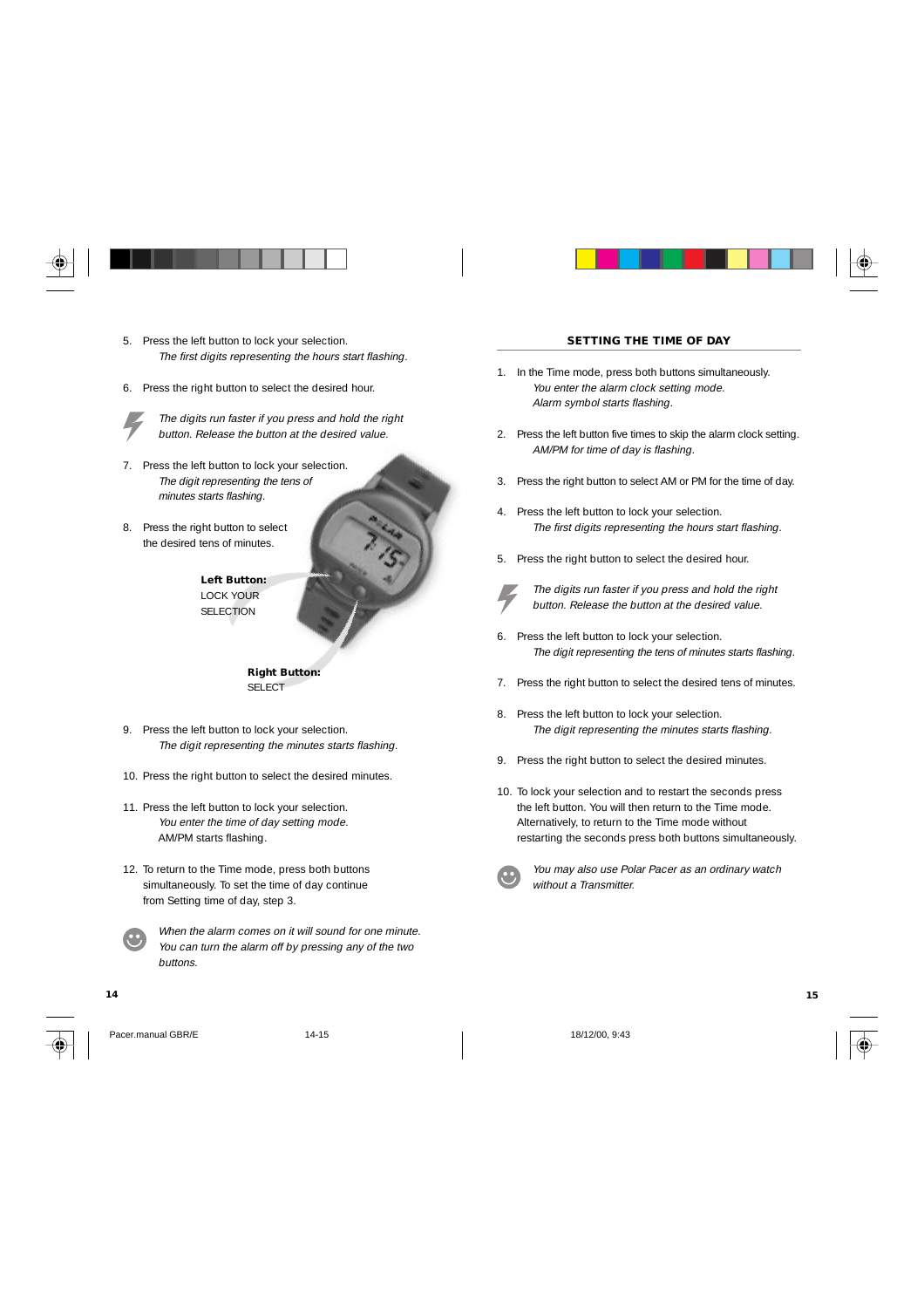- 5. Press the left button to lock your selection. The first digits representing the hours start flashing.
- 6. Press the right button to select the desired hour.



The digits run faster if you press and hold the right button. Release the button at the desired value.

- 7. Press the left button to lock your selection. The digit representing the tens of minutes starts flashing.
- 8. Press the right button to select the desired tens of minutes.



**Right Button:** SELECT

- 9. Press the left button to lock your selection. The digit representing the minutes starts flashing.
- 10. Press the right button to select the desired minutes.
- 11. Press the left button to lock your selection. You enter the time of day setting mode. AM/PM starts flashing.
- 12. To return to the Time mode, press both buttons simultaneously. To set the time of day continue from Setting time of day, step 3.



When the alarm comes on it will sound for one minute. You can turn the alarm off by pressing any of the two buttons.





Pacer.manual GBR/E 14-15 18/12/00, 9:43



#### **SETTING THE TIME OF DAY**

- 1. In the Time mode, press both buttons simultaneously. You enter the alarm clock setting mode. Alarm symbol starts flashing.
- 2. Press the left button five times to skip the alarm clock setting. AM/PM for time of day is flashing.
- 3. Press the right button to select AM or PM for the time of day.
- 4. Press the left button to lock your selection. The first digits representing the hours start flashing.
- 5. Press the right button to select the desired hour.



The digits run faster if you press and hold the right button. Release the button at the desired value.

- 6. Press the left button to lock your selection. The digit representing the tens of minutes starts flashing.
- 7. Press the right button to select the desired tens of minutes.
- 8. Press the left button to lock your selection. The digit representing the minutes starts flashing.
- 9. Press the right button to select the desired minutes.
- 10. To lock your selection and to restart the seconds press the left button. You will then return to the Time mode. Alternatively, to return to the Time mode without restarting the seconds press both buttons simultaneously.



You may also use Polar Pacer as an ordinary watch without a Transmitter.



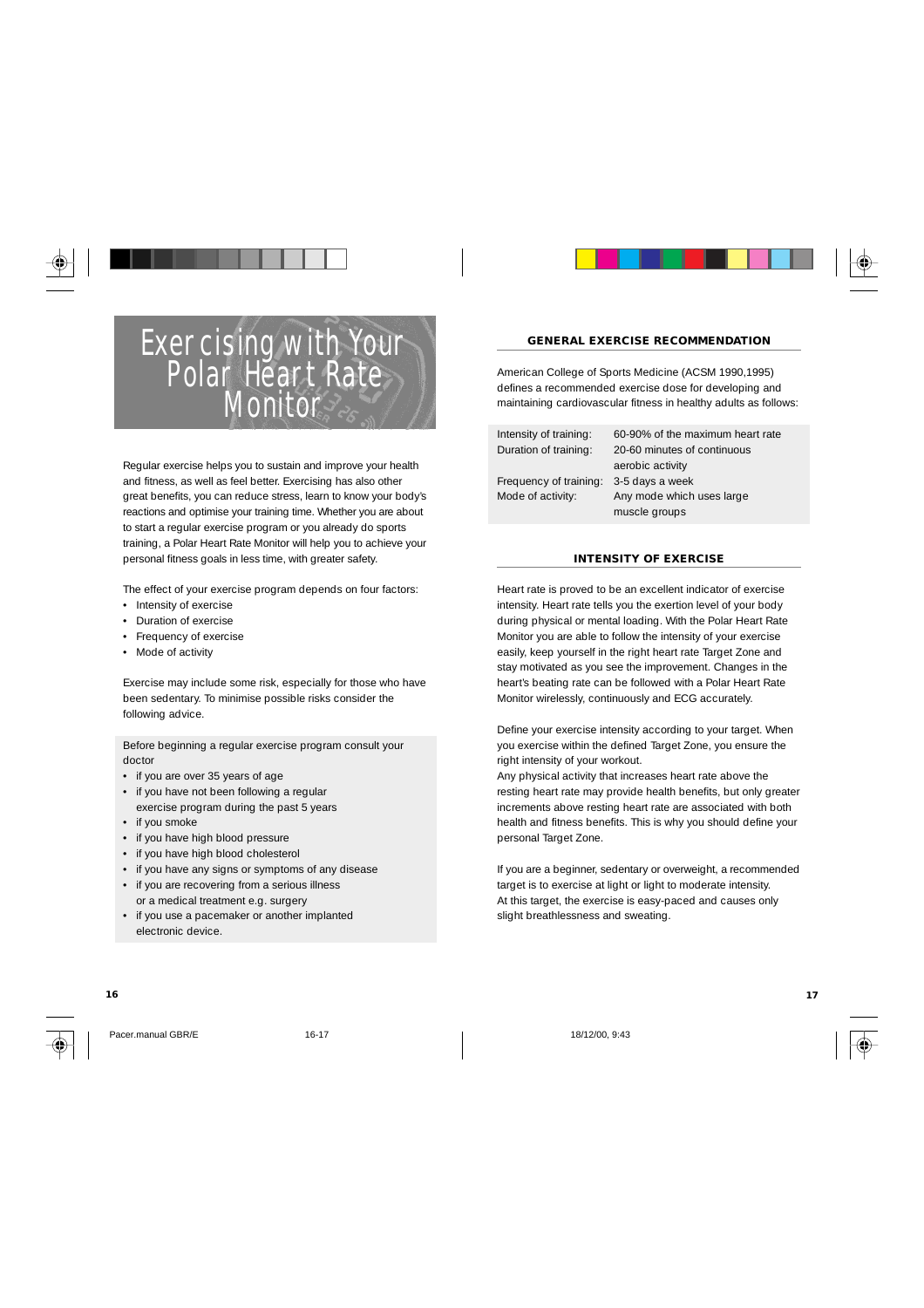## Exercising with Your Polar Heart Rate **Monitor**

Regular exercise helps you to sustain and improve your health and fitness, as well as feel better. Exercising has also other great benefits, you can reduce stress, learn to know your body's reactions and optimise your training time. Whether you are about to start a regular exercise program or you already do sports training, a Polar Heart Rate Monitor will help you to achieve your personal fitness goals in less time, with greater safety.

The effect of your exercise program depends on four factors:

- Intensity of exercise
- Duration of exercise
- Frequency of exercise
- Mode of activity

Exercise may include some risk, especially for those who have been sedentary. To minimise possible risks consider the following advice.

Before beginning a regular exercise program consult your doctor

- if you are over 35 years of age
- if you have not been following a regular exercise program during the past 5 years
- if you smoke
- if you have high blood pressure • if you have high blood cholesterol
- if you have any signs or symptoms of any disease
- if you are recovering from a serious illness
- or a medical treatment e.g. surgery
- if you use a pacemaker or another implanted electronic device.

Pacer.manual GBR/E 16-17 18-17 18-17 18-17 18-12-200, 9:43



#### **GENERAL EXERCISE RECOMMENDATION**

American College of Sports Medicine (ACSM 1990,1995) defines a recommended exercise dose for developing and maintaining cardiovascular fitness in healthy adults as follows:

Frequency of training: 3-5 days a week

Intensity of training: 60-90% of the maximum heart rate Duration of training: 20-60 minutes of continuous aerobic activity Mode of activity: Any mode which uses large muscle groups

#### **INTENSITY OF EXERCISE**

Heart rate is proved to be an excellent indicator of exercise intensity. Heart rate tells you the exertion level of your body during physical or mental loading. With the Polar Heart Rate Monitor you are able to follow the intensity of your exercise easily, keep yourself in the right heart rate Target Zone and stay motivated as you see the improvement. Changes in the heart's beating rate can be followed with a Polar Heart Rate Monitor wirelessly, continuously and ECG accurately.

Define your exercise intensity according to your target. When you exercise within the defined Target Zone, you ensure the right intensity of your workout.

Any physical activity that increases heart rate above the resting heart rate may provide health benefits, but only greater increments above resting heart rate are associated with both health and fitness benefits. This is why you should define your personal Target Zone.

If you are a beginner, sedentary or overweight, a recommended target is to exercise at light or light to moderate intensity. At this target, the exercise is easy-paced and causes only slight breathlessness and sweating.

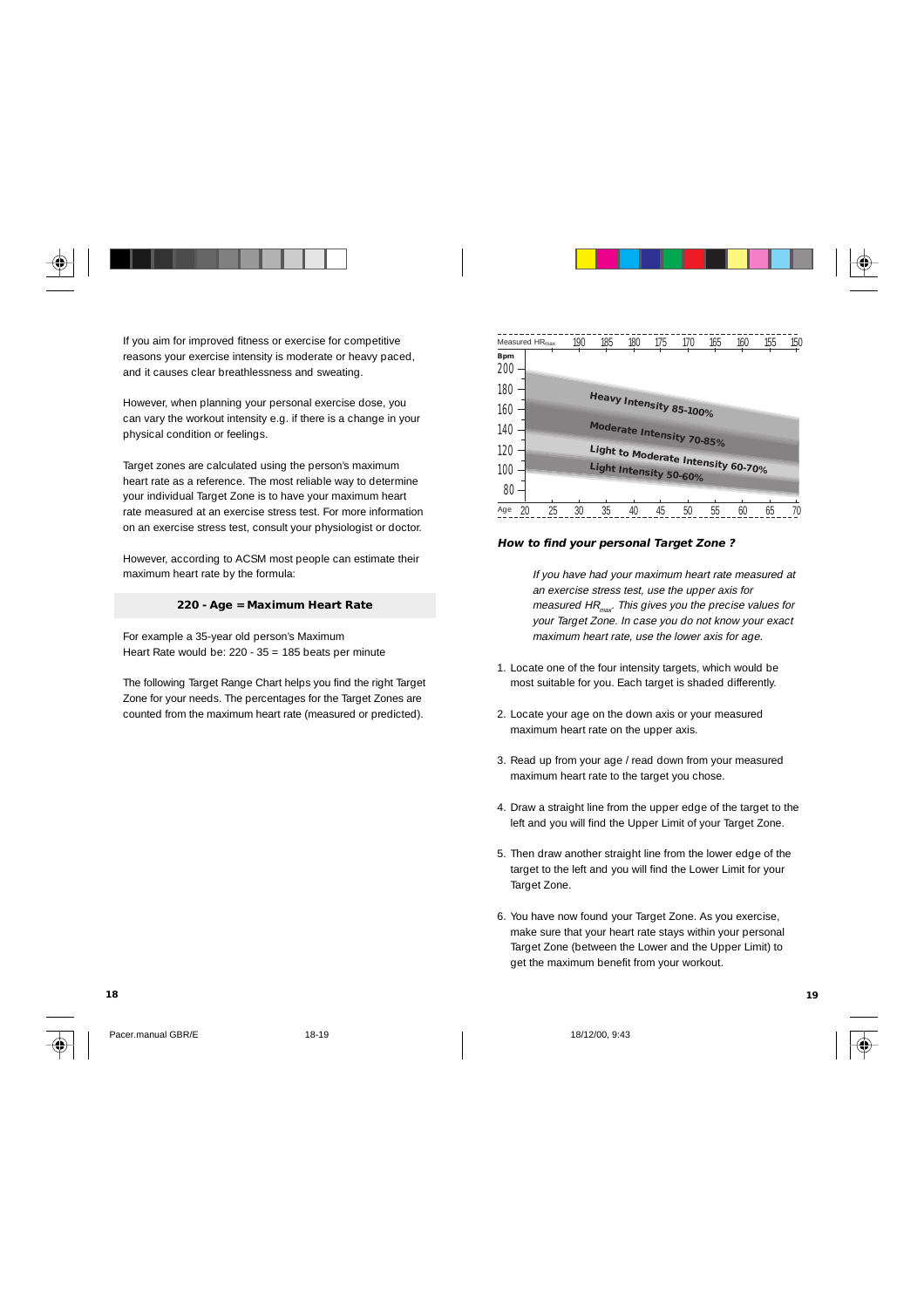

If you aim for improved fitness or exercise for competitive reasons your exercise intensity is moderate or heavy paced, and it causes clear breathlessness and sweating.

However, when planning your personal exercise dose, you can vary the workout intensity e.g. if there is a change in your physical condition or feelings.

Target zones are calculated using the person's maximum heart rate as a reference. The most reliable way to determine your individual Target Zone is to have your maximum heart rate measured at an exercise stress test. For more information on an exercise stress test, consult your physiologist or doctor.

However, according to ACSM most people can estimate their maximum heart rate by the formula:

#### **220 - Age = Maximum Heart Rate**

For example a 35-year old person's Maximum Heart Rate would be: 220 - 35 = 185 beats per minute

The following Target Range Chart helps you find the right Target Zone for your needs. The percentages for the Target Zones are counted from the maximum heart rate (measured or predicted).

| Measured HR <sub>max</sub> | 190      | 185                                | 180 | 175 | 170 | 165 | 160 | 155 | 150 |
|----------------------------|----------|------------------------------------|-----|-----|-----|-----|-----|-----|-----|
| <b>Bpm</b><br>200          |          |                                    |     |     |     |     |     |     |     |
| 180                        |          |                                    |     |     |     |     |     |     |     |
| 160                        |          | Heavy Intensity 85-100%            |     |     |     |     |     |     |     |
| 140                        |          | Moderate Intensity 70-85%          |     |     |     |     |     |     |     |
| 120                        |          | Light to Moderate Intensity 60-70% |     |     |     |     |     |     |     |
| 100                        |          | Light Intensity 50-60%             |     |     |     |     |     |     |     |
| 80                         |          |                                    |     |     |     |     |     |     |     |
| 20<br>Age                  | 25<br>30 | 35                                 | 40  | 45  | 50  | 55  | 60  | 65  |     |

#### **How to find your personal Target Zone ?**

If you have had your maximum heart rate measured at an exercise stress test, use the upper axis for measured  $HR_{\text{max}}$ . This gives you the precise values for your Target Zone. In case you do not know your exact maximum heart rate, use the lower axis for age.

- 1. Locate one of the four intensity targets, which would be most suitable for you. Each target is shaded differently.
- 2. Locate your age on the down axis or your measured maximum heart rate on the upper axis.
- 3. Read up from your age / read down from your measured maximum heart rate to the target you chose.
- 4. Draw a straight line from the upper edge of the target to the left and you will find the Upper Limit of your Target Zone.
- 5. Then draw another straight line from the lower edge of the target to the left and you will find the Lower Limit for your Target Zone.
- 6. You have now found your Target Zone. As you exercise, make sure that your heart rate stays within your personal Target Zone (between the Lower and the Upper Limit) to get the maximum benefit from your workout.

Pacer.manual GBR/E 18-19 18-19 18-19 18-19 18-19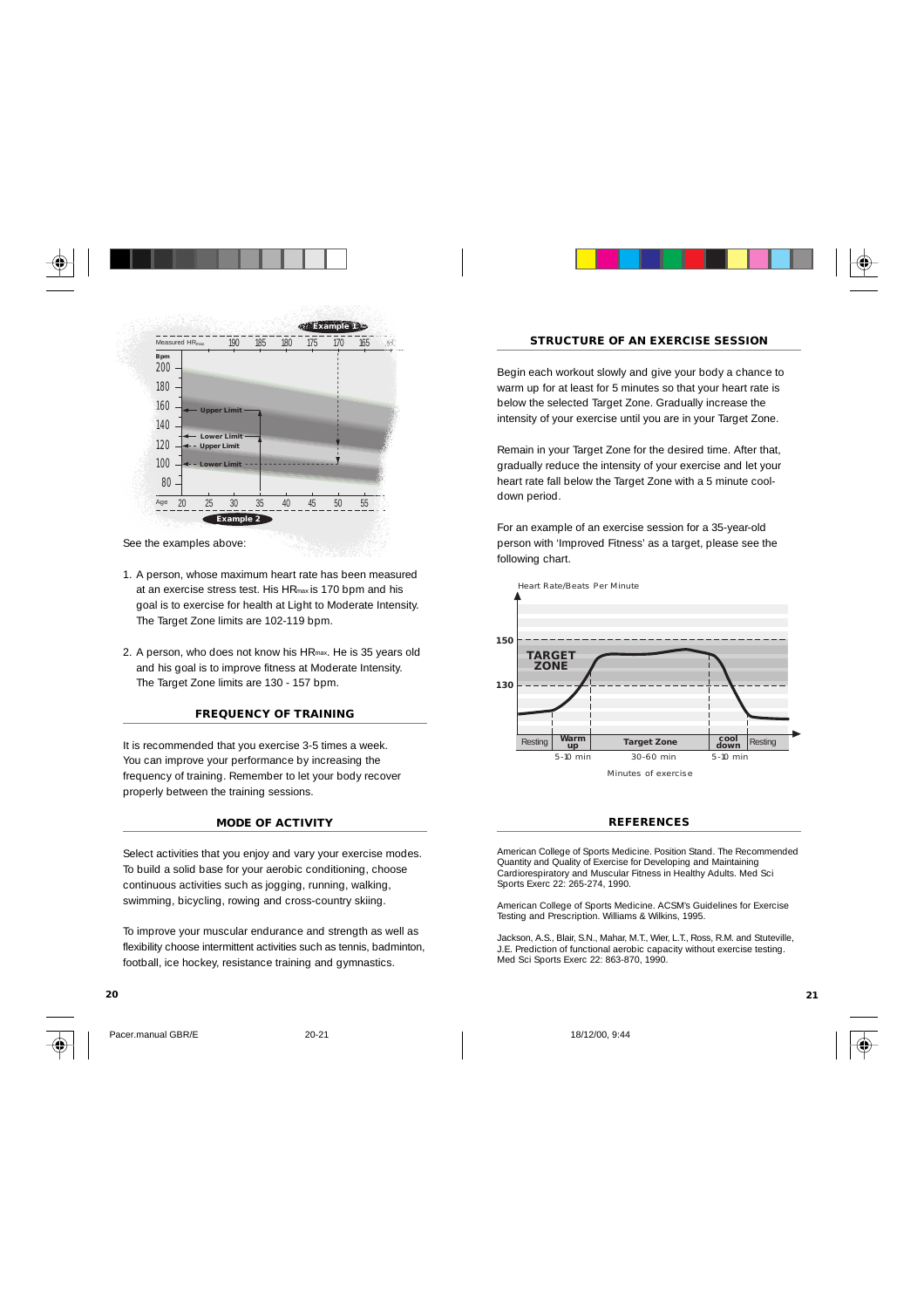

See the examples above:

- 1. A person, whose maximum heart rate has been measured at an exercise stress test. His HRmax is 170 bpm and his goal is to exercise for health at Light to Moderate Intensity. The Target Zone limits are 102-119 bpm.
- 2. A person, who does not know his HRmax. He is 35 years old and his goal is to improve fitness at Moderate Intensity. The Target Zone limits are 130 - 157 bpm.

#### **FREQUENCY OF TRAINING**

It is recommended that you exercise 3-5 times a week. You can improve your performance by increasing the frequency of training. Remember to let your body recover properly between the training sessions.

#### **MODE OF ACTIVITY**

Select activities that you enjoy and vary your exercise modes. To build a solid base for your aerobic conditioning, choose continuous activities such as jogging, running, walking, swimming, bicycling, rowing and cross-country skiing.

To improve your muscular endurance and strength as well as flexibility choose intermittent activities such as tennis, badminton, football, ice hockey, resistance training and gymnastics.



Pacer.manual GBR/E 20-21 20-21 18/12/00, 9:44



#### **STRUCTURE OF AN EXERCISE SESSION**

Begin each workout slowly and give your body a chance to warm up for at least for 5 minutes so that your heart rate is below the selected Target Zone. Gradually increase the intensity of your exercise until you are in your Target Zone.

Remain in your Target Zone for the desired time. After that, gradually reduce the intensity of your exercise and let your heart rate fall below the Target Zone with a 5 minute cooldown period.

For an example of an exercise session for a 35-year-old person with 'Improved Fitness' as a target, please see the following chart.



#### **REFERENCES**

American College of Sports Medicine. Position Stand. The Recommended Quantity and Quality of Exercise for Developing and Maintaining Cardiorespiratory and Muscular Fitness in Healthy Adults. Med Sci Sports Exerc 22: 265-274, 1990.

American College of Sports Medicine. ACSM's Guidelines for Exercise Testing and Prescription. Williams & Wilkins, 1995.

Jackson, A.S., Blair, S.N., Mahar, M.T., Wier, L.T., Ross, R.M. and Stuteville, J.E. Prediction of functional aerobic capacity without exercise testing. Med Sci Sports Exerc 22: 863-870, 1990.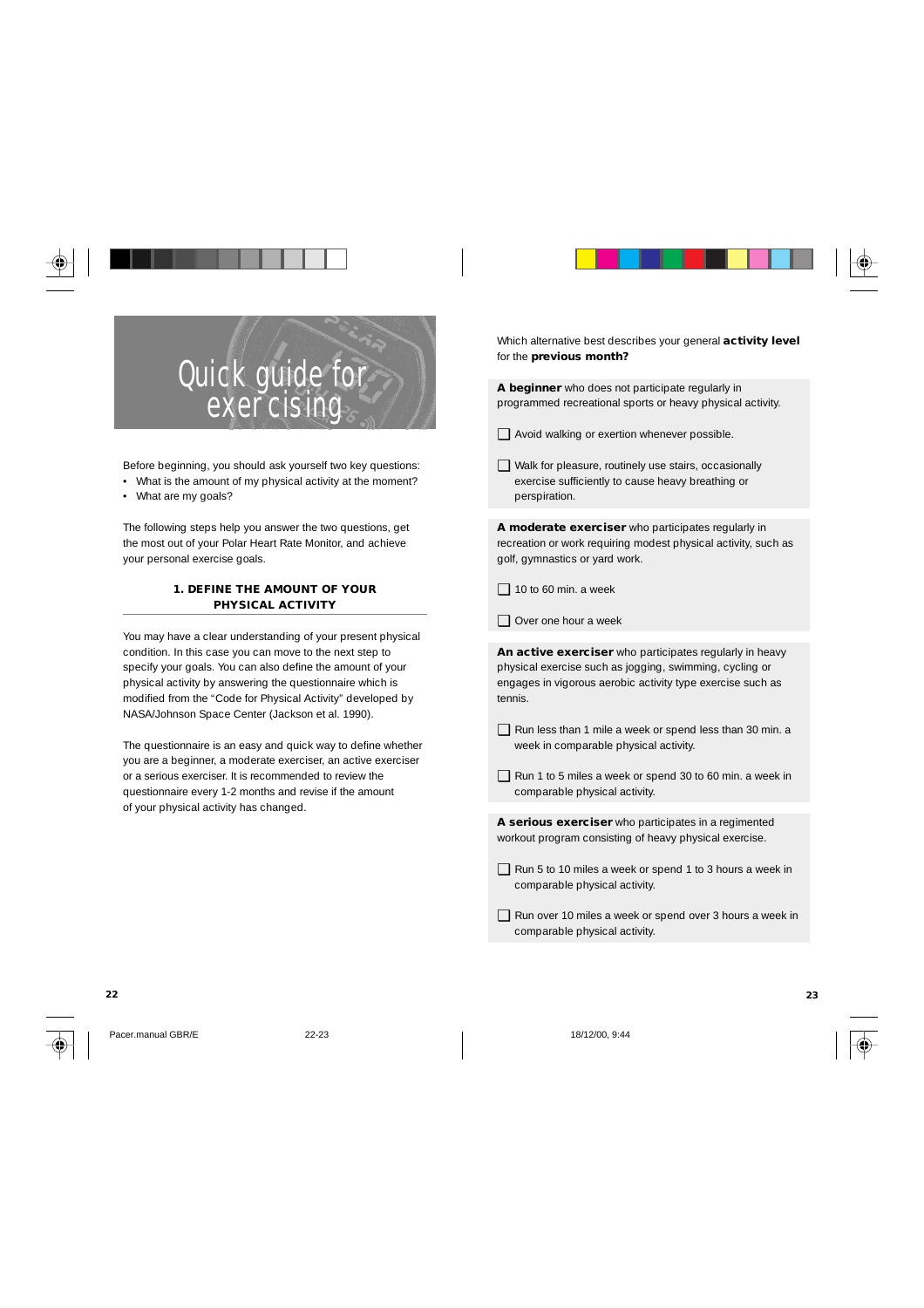

# Quick guide for exercising

Before beginning, you should ask yourself two key questions: • What is the amount of my physical activity at the moment?

• What are my goals?

The following steps help you answer the two questions, get the most out of your Polar Heart Rate Monitor, and achieve your personal exercise goals.

#### **1. DEFINE THE AMOUNT OF YOUR PHYSICAL ACTIVITY**

You may have a clear understanding of your present physical condition. In this case you can move to the next step to specify your goals. You can also define the amount of your physical activity by answering the questionnaire which is modified from the "Code for Physical Activity" developed by NASA/Johnson Space Center (Jackson et al. 1990).

The questionnaire is an easy and quick way to define whether you are a beginner, a moderate exerciser, an active exerciser or a serious exerciser. It is recommended to review the questionnaire every 1-2 months and revise if the amount of your physical activity has changed.

Which alternative best describes your general **activity level** for the **previous month?**

**A beginner** who does not participate regularly in programmed recreational sports or heavy physical activity.

- ❑ Avoid walking or exertion whenever possible.
- ❑ Walk for pleasure, routinely use stairs, occasionally exercise sufficiently to cause heavy breathing or perspiration.

**A moderate exerciser** who participates regularly in recreation or work requiring modest physical activity, such as golf, gymnastics or yard work.

- $\Box$  10 to 60 min. a week
- ❑ Over one hour a week

**An active exerciser** who participates regularly in heavy physical exercise such as jogging, swimming, cycling or engages in vigorous aerobic activity type exercise such as tennis.

- ❑ Run less than 1 mile a week or spend less than 30 min. a week in comparable physical activity.
- ❑ Run 1 to 5 miles a week or spend 30 to 60 min. a week in comparable physical activity.

**A serious exerciser** who participates in a regimented workout program consisting of heavy physical exercise.

- ❑ Run 5 to 10 miles a week or spend 1 to 3 hours a week in comparable physical activity.
- ❑ Run over 10 miles a week or spend over 3 hours a week in comparable physical activity.

Pacer.manual GBR/E 22-23 18/12/00, 9:44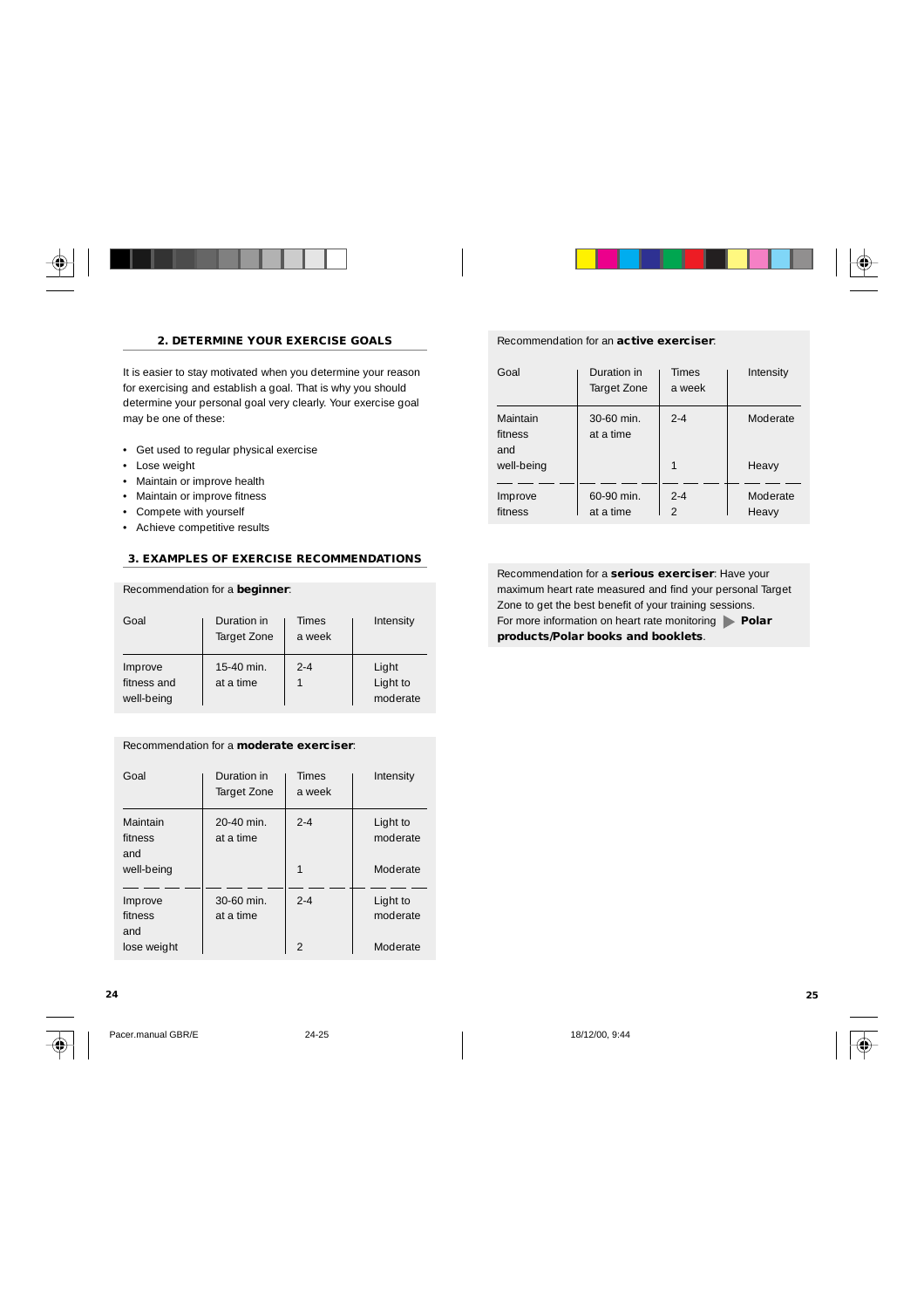

#### **2. DETERMINE YOUR EXERCISE GOALS**

It is easier to stay motivated when you determine your reason for exercising and establish a goal. That is why you should determine your personal goal very clearly. Your exercise goal may be one of these:

- Get used to regular physical exercise
- Lose weight
- Maintain or improve health
- Maintain or improve fitness
- Compete with yourself
- Achieve competitive results

#### **3. EXAMPLES OF EXERCISE RECOMMENDATIONS**

#### Recommendation for a **beginner**:

| Goal                                 | Duration in<br>Target Zone | <b>Times</b><br>a week | Intensity                     |
|--------------------------------------|----------------------------|------------------------|-------------------------------|
| Improve<br>fitness and<br>well-being | 15-40 min.<br>at a time    | $2 - 4$                | Light<br>Light to<br>moderate |

#### Recommendation for a **moderate exerciser**:

| Goal                       | Duration in<br>Target Zone | <b>Times</b><br>a week | Intensity            |
|----------------------------|----------------------------|------------------------|----------------------|
| Maintain<br>fitness<br>and | 20-40 min.<br>at a time    | $2 - 4$                | Light to<br>moderate |
| well-being                 |                            |                        | Moderate             |
| Improve<br>fitness<br>and  | 30-60 min.<br>at a time    | $2 - 4$                | Light to<br>moderate |
| lose weight                |                            | $\mathcal{P}$          | Moderate             |

#### **24 25**



Pacer.manual GBR/E 24-25 18/12/00, 9:44



#### Recommendation for an **active exerciser**:

| Goal                       | Duration in<br>Target Zone | <b>Times</b><br>a week    | Intensity         |
|----------------------------|----------------------------|---------------------------|-------------------|
| Maintain<br>fitness<br>and | $30-60$ min.<br>at a time  | $2 - 4$                   | Moderate          |
| well-being                 |                            |                           | Heavy             |
| Improve<br>fitness         | 60-90 min.<br>at a time    | $2 - 4$<br>$\mathfrak{D}$ | Moderate<br>Heavy |

Recommendation for a **serious exerciser**: Have your maximum heart rate measured and find your personal Target Zone to get the best benefit of your training sessions. For more information on heart rate monitoring **Polar products/Polar books and booklets**.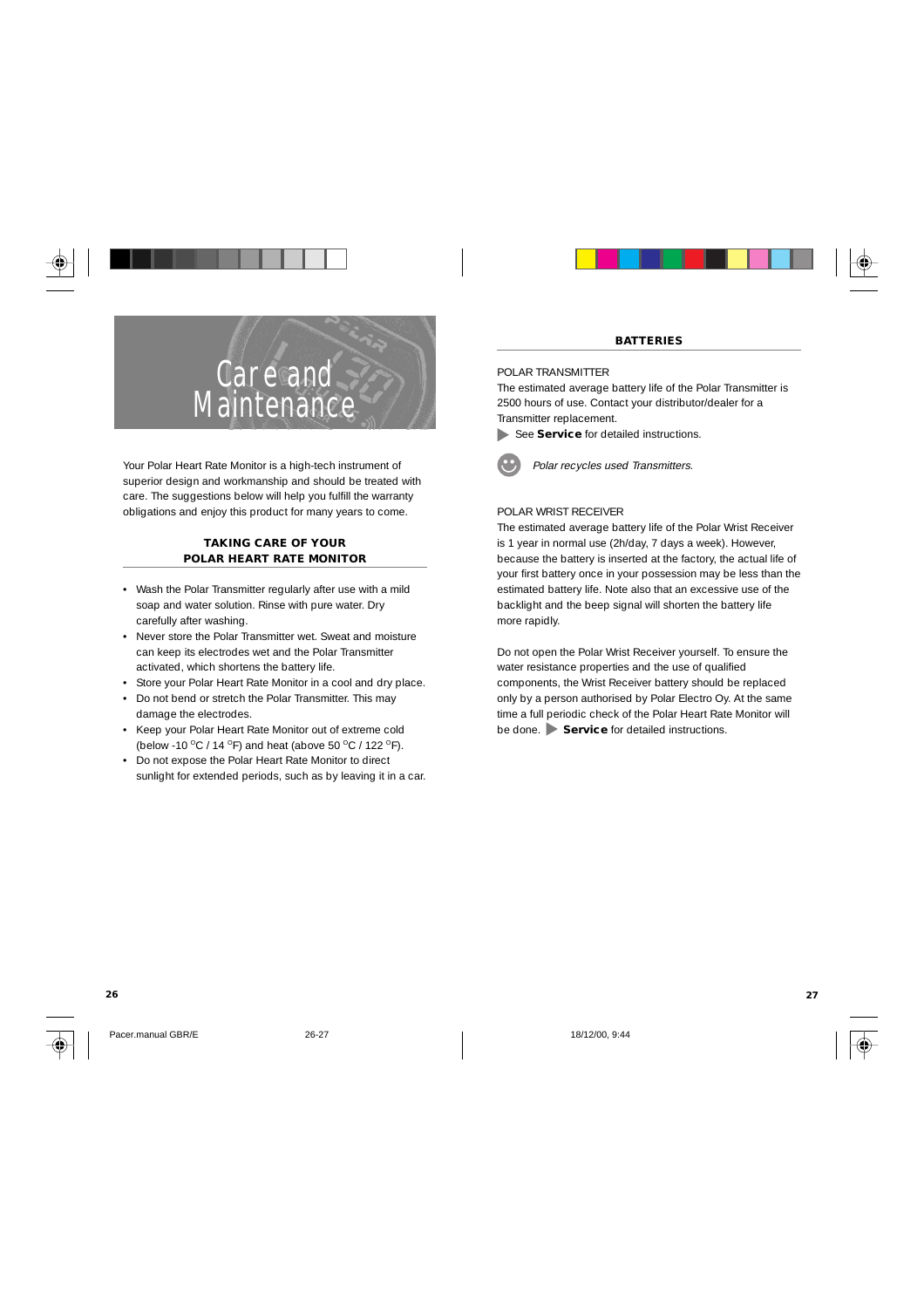

Your Polar Heart Rate Monitor is a high-tech instrument of superior design and workmanship and should be treated with care. The suggestions below will help you fulfill the warranty obligations and enjoy this product for many years to come.

#### **TAKING CARE OF YOUR POLAR HEART RATE MONITOR**

- Wash the Polar Transmitter regularly after use with a mild soap and water solution. Rinse with pure water. Dry carefully after washing.
- Never store the Polar Transmitter wet. Sweat and moisture can keep its electrodes wet and the Polar Transmitter activated, which shortens the battery life.
- Store your Polar Heart Rate Monitor in a cool and dry place.
- Do not bend or stretch the Polar Transmitter. This may damage the electrodes.
- Keep your Polar Heart Rate Monitor out of extreme cold (below -10 °C / 14 °F) and heat (above 50 °C / 122 °F).
- Do not expose the Polar Heart Rate Monitor to direct sunlight for extended periods, such as by leaving it in a car.



#### **BATTERIES**

#### POLAR TRANSMITTER

The estimated average battery life of the Polar Transmitter is 2500 hours of use. Contact your distributor/dealer for a Transmitter replacement.

See **Service** for detailed instructions.



Polar recycles used Transmitters.

## POLAR WRIST RECEIVER

The estimated average battery life of the Polar Wrist Receiver is 1 year in normal use (2h/day, 7 days a week). However, because the battery is inserted at the factory, the actual life of your first battery once in your possession may be less than the estimated battery life. Note also that an excessive use of the backlight and the beep signal will shorten the battery life more rapidly.

Do not open the Polar Wrist Receiver yourself. To ensure the water resistance properties and the use of qualified components, the Wrist Receiver battery should be replaced only by a person authorised by Polar Electro Oy. At the same time a full periodic check of the Polar Heart Rate Monitor will be done. **Service** for detailed instructions.

Pacer.manual GBR/E 26-27 26-27 18/12/00, 9:44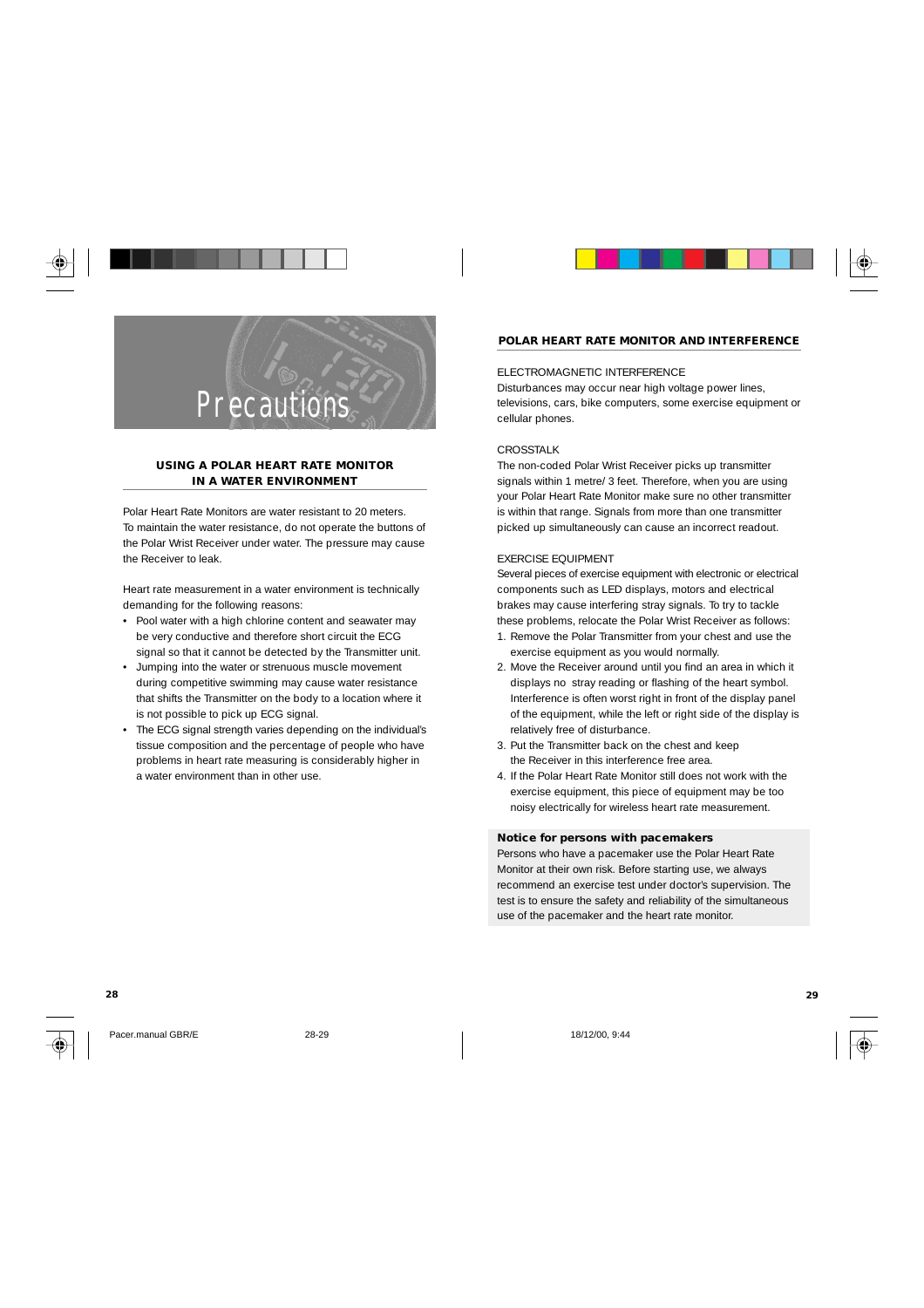

#### **USING A POLAR HEART RATE MONITOR IN A WATER ENVIRONMENT**

Polar Heart Rate Monitors are water resistant to 20 meters. To maintain the water resistance, do not operate the buttons of the Polar Wrist Receiver under water. The pressure may cause the Receiver to leak.

Heart rate measurement in a water environment is technically demanding for the following reasons:

- Pool water with a high chlorine content and seawater may be very conductive and therefore short circuit the ECG signal so that it cannot be detected by the Transmitter unit.
- Jumping into the water or strenuous muscle movement during competitive swimming may cause water resistance that shifts the Transmitter on the body to a location where it is not possible to pick up ECG signal.
- The ECG signal strength varies depending on the individual's tissue composition and the percentage of people who have problems in heart rate measuring is considerably higher in a water environment than in other use.

### **POLAR HEART RATE MONITOR AND INTERFERENCE**

#### ELECTROMAGNETIC INTERFERENCE

Disturbances may occur near high voltage power lines, televisions, cars, bike computers, some exercise equipment or cellular phones.

#### CROSSTALK

The non-coded Polar Wrist Receiver picks up transmitter signals within 1 metre/ 3 feet. Therefore, when you are using your Polar Heart Rate Monitor make sure no other transmitter is within that range. Signals from more than one transmitter picked up simultaneously can cause an incorrect readout.

#### EXERCISE EQUIPMENT

Several pieces of exercise equipment with electronic or electrical components such as LED displays, motors and electrical brakes may cause interfering stray signals. To try to tackle these problems, relocate the Polar Wrist Receiver as follows:

- 1. Remove the Polar Transmitter from your chest and use the exercise equipment as you would normally.
- 2. Move the Receiver around until you find an area in which it displays no stray reading or flashing of the heart symbol. Interference is often worst right in front of the display panel of the equipment, while the left or right side of the display is relatively free of disturbance.
- 3. Put the Transmitter back on the chest and keep the Receiver in this interference free area.
- 4. If the Polar Heart Rate Monitor still does not work with the exercise equipment, this piece of equipment may be too noisy electrically for wireless heart rate measurement.

### **Notice for persons with pacemakers**

Persons who have a pacemaker use the Polar Heart Rate Monitor at their own risk. Before starting use, we always recommend an exercise test under doctor's supervision. The test is to ensure the safety and reliability of the simultaneous use of the pacemaker and the heart rate monitor.

Pacer.manual GBR/E 28-29 28-29 18/12/00, 9:44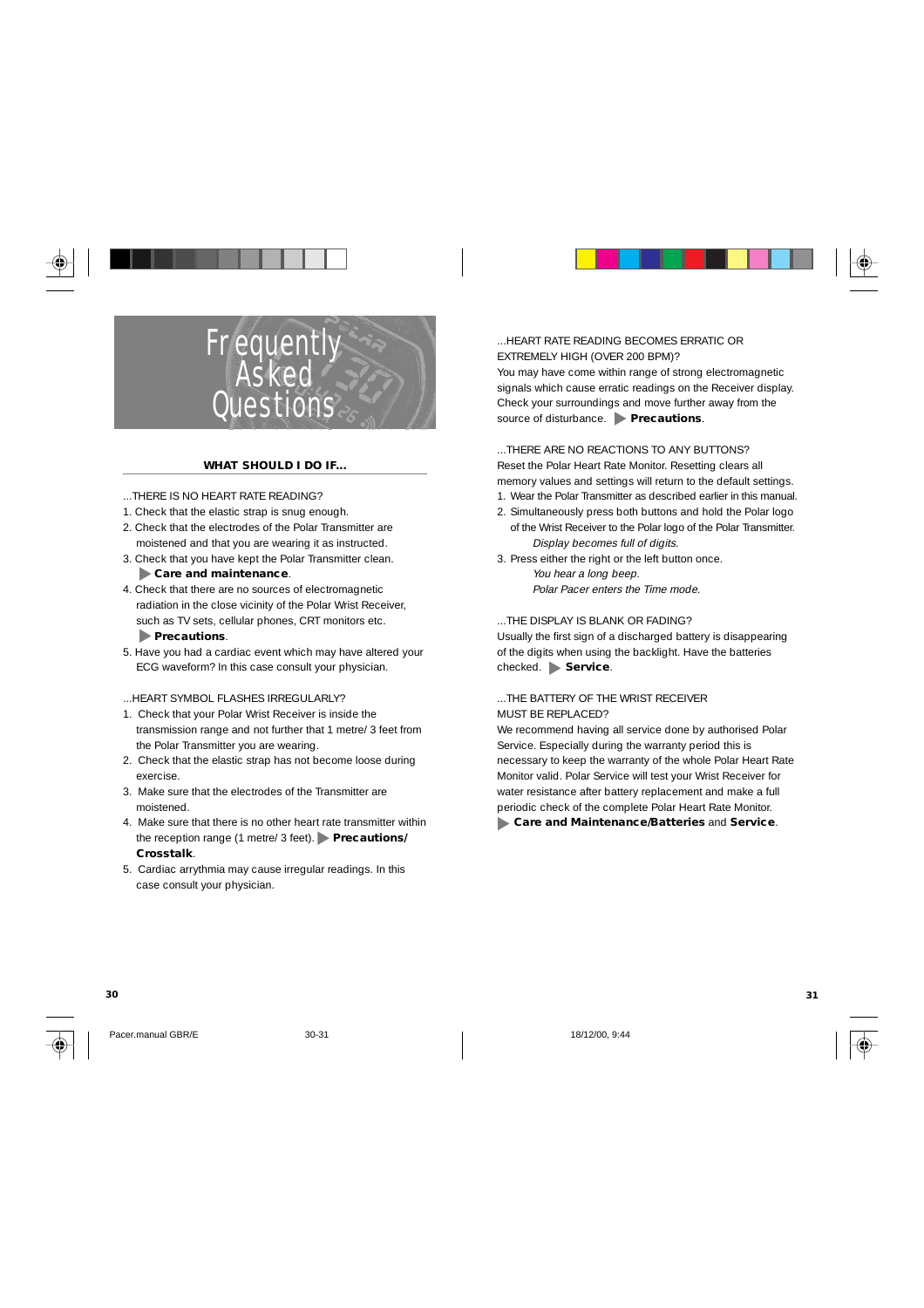



## **Frequently** Asked **Ouestions**

#### **WHAT SHOULD I DO IF...**

- ...THERE IS NO HEART RATE READING?
- 1. Check that the elastic strap is snug enough.
- 2. Check that the electrodes of the Polar Transmitter are moistened and that you are wearing it as instructed.
- 3. Check that you have kept the Polar Transmitter clean.  **Care and maintenance**.

- 4. Check that there are no sources of electromagnetic radiation in the close vicinity of the Polar Wrist Receiver, such as TV sets, cellular phones, CRT monitors etc.  **Precautions**.
- 5. Have you had a cardiac event which may have altered your ECG waveform? In this case consult your physician.

...HEART SYMBOL FLASHES IRREGULARLY?

- 1. Check that your Polar Wrist Receiver is inside the transmission range and not further that 1 metre/ 3 feet from the Polar Transmitter you are wearing.
- 2. Check that the elastic strap has not become loose during exercise.
- 3. Make sure that the electrodes of the Transmitter are moistened.
- 4. Make sure that there is no other heart rate transmitter within the reception range (1 metre/ 3 feet). **Precautions/ Crosstalk**.
- 5. Cardiac arrythmia may cause irregular readings. In this case consult your physician.

#### ...HEART RATE READING BECOMES ERRATIC OR EXTREMELY HIGH (OVER 200 BPM)? You may have come within range of strong electromagnetic signals which cause erratic readings on the Receiver display. Check your surroundings and move further away from the

source of disturbance. **Precautions**. ...THERE ARE NO REACTIONS TO ANY BUTTONS? Reset the Polar Heart Rate Monitor. Resetting clears all

- memory values and settings will return to the default settings.
- 1. Wear the Polar Transmitter as described earlier in this manual.
- 2. Simultaneously press both buttons and hold the Polar logo of the Wrist Receiver to the Polar logo of the Polar Transmitter. Display becomes full of digits.
- 3. Press either the right or the left button once. You hear a long beep. Polar Pacer enters the Time mode.

...THE DISPLAY IS BLANK OR FADING?

Usually the first sign of a discharged battery is disappearing of the digits when using the backlight. Have the batteries checked. **Service**.

#### ...THE BATTERY OF THE WRIST RECEIVER MUST BE REPLACED?

We recommend having all service done by authorised Polar Service. Especially during the warranty period this is necessary to keep the warranty of the whole Polar Heart Rate Monitor valid. Polar Service will test your Wrist Receiver for water resistance after battery replacement and make a full periodic check of the complete Polar Heart Rate Monitor.

 **Care and Maintenance/Batteries** and **Service**.



Pacer.manual GBR/E 30-31 30-31 18/12/00, 9:44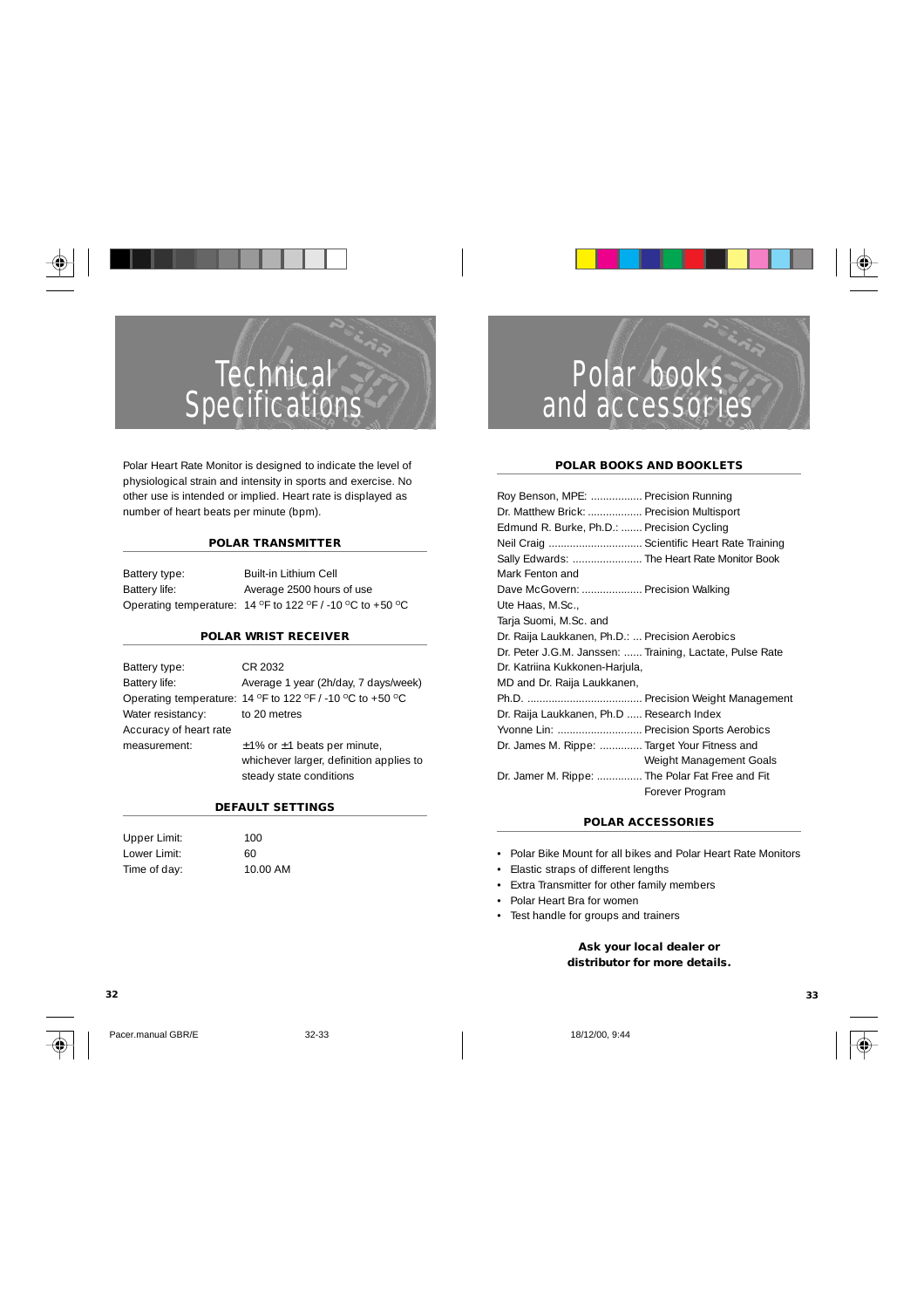

# **Technical Specifications**

Polar Heart Rate Monitor is designed to indicate the level of physiological strain and intensity in sports and exercise. No other use is intended or implied. Heart rate is displayed as number of heart beats per minute (bpm).

#### **POLAR TRANSMITTER**

Battery type: Built-in Lithium Cell Battery life: Average 2500 hours of use Operating temperature:  $14$  °F to 122 °F / -10 °C to +50 °C

#### **POLAR WRIST RECEIVER**

Battery type: CR 2032 Battery life: Average 1 year (2h/day, 7 days/week) Operating temperature: 14 °F to 122 °F / -10 °C to +50 °C Water resistancy: to 20 metres Accuracy of heart rate measurement:  $±1\%$  or ±1 beats per minute, whichever larger, definition applies to steady state conditions

**DEFAULT SETTINGS**

| Upper Limit: | 100      |
|--------------|----------|
| Lower Limit: | 60       |
| Time of day: | 10.00 AM |



## Polar books and accessories

#### **POLAR BOOKS AND BOOKLETS**

| Roy Benson, MPE:  Precision Running                      |                         |
|----------------------------------------------------------|-------------------------|
| Dr. Matthew Brick:  Precision Multisport                 |                         |
| Edmund R. Burke, Ph.D.:  Precision Cycling               |                         |
| Neil Craig  Scientific Heart Rate Training               |                         |
| Sally Edwards:  The Heart Rate Monitor Book              |                         |
| Mark Fenton and                                          |                         |
| Dave McGovern:  Precision Walking                        |                         |
| Ute Haas, M.Sc.,                                         |                         |
| Tarja Suomi, M.Sc. and                                   |                         |
| Dr. Raija Laukkanen, Ph.D.:  Precision Aerobics          |                         |
| Dr. Peter J.G.M. Janssen:  Training, Lactate, Pulse Rate |                         |
| Dr. Katriina Kukkonen-Harjula,                           |                         |
| MD and Dr. Raija Laukkanen,                              |                         |
|                                                          |                         |
| Dr. Raija Laukkanen, Ph.D  Research Index                |                         |
| Yvonne Lin:  Precision Sports Aerobics                   |                         |
| Dr. James M. Rippe:  Target Your Fitness and             |                         |
|                                                          | Weight Management Goals |
| Dr. Jamer M. Rippe:  The Polar Fat Free and Fit          |                         |
|                                                          | Forever Program         |

#### **POLAR ACCESSORIES**

- Polar Bike Mount for all bikes and Polar Heart Rate Monitors
- Elastic straps of different lengths
- Extra Transmitter for other family members
- Polar Heart Bra for women

**32 33**

• Test handle for groups and trainers

**Ask your local dealer or distributor for more details.**

Pacer.manual GBR/E 32-33 18/12/00, 9:44

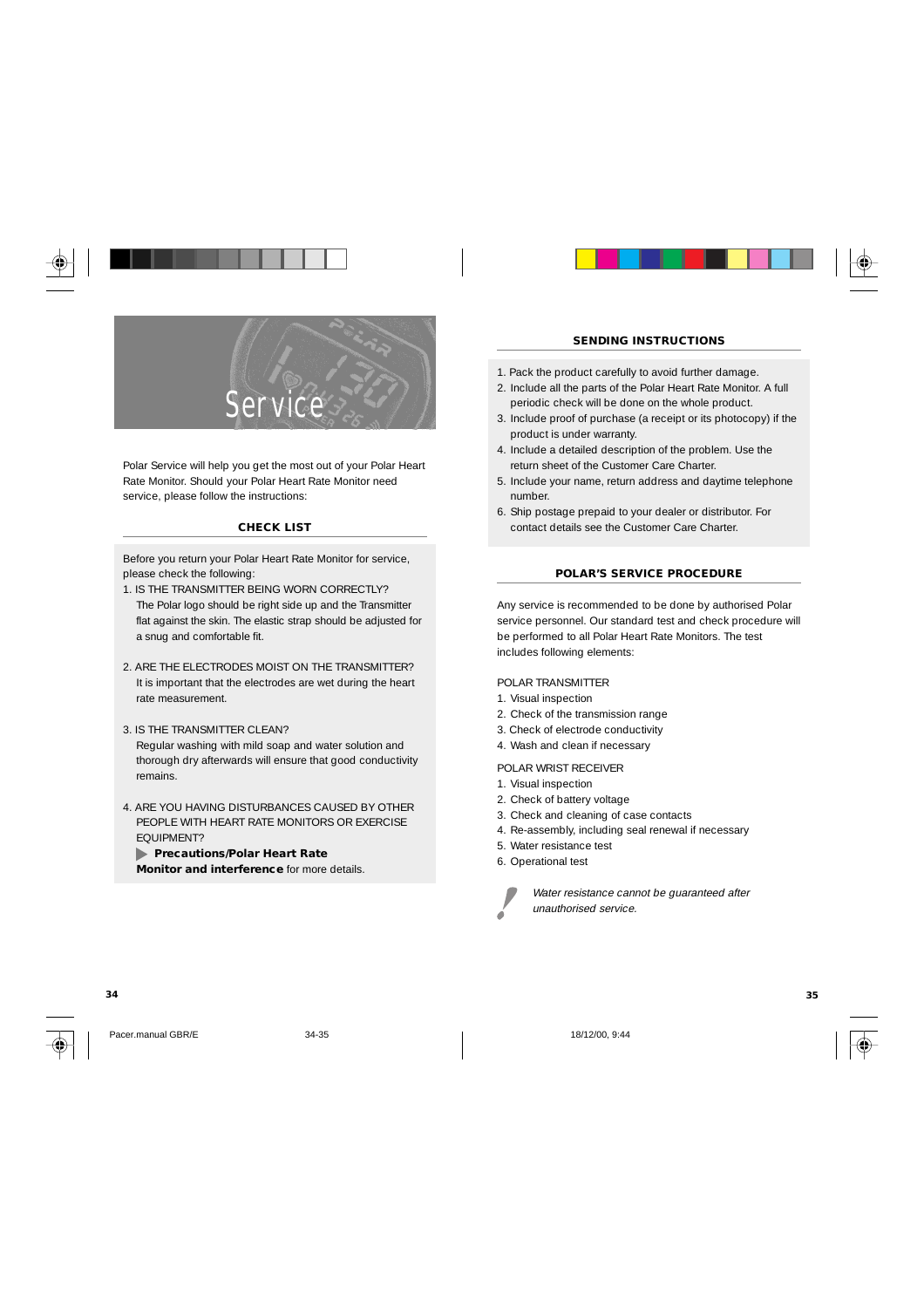

Polar Service will help you get the most out of your Polar Heart Rate Monitor. Should your Polar Heart Rate Monitor need service, please follow the instructions:

#### **CHECK LIST**

Before you return your Polar Heart Rate Monitor for service, please check the following:

- 1. IS THE TRANSMITTER BEING WORN CORRECTLY? The Polar logo should be right side up and the Transmitter flat against the skin. The elastic strap should be adjusted for a snug and comfortable fit.
- 2. ARE THE ELECTRODES MOIST ON THE TRANSMITTER? It is important that the electrodes are wet during the heart rate measurement.
- 3. IS THE TRANSMITTER CLEAN? Regular washing with mild soap and water solution and thorough dry afterwards will ensure that good conductivity remains.
- 4. ARE YOU HAVING DISTURBANCES CAUSED BY OTHER PEOPLE WITH HEART RATE MONITORS OR EXERCISE EQUIPMENT?

 **Precautions/Polar Heart Rate**

**Monitor and interference** for more details.



#### **SENDING INSTRUCTIONS**

- 1. Pack the product carefully to avoid further damage.
- 2. Include all the parts of the Polar Heart Rate Monitor. A full periodic check will be done on the whole product.
- 3. Include proof of purchase (a receipt or its photocopy) if the product is under warranty.
- 4. Include a detailed description of the problem. Use the return sheet of the Customer Care Charter.
- 5. Include your name, return address and daytime telephone number.
- 6. Ship postage prepaid to your dealer or distributor. For contact details see the Customer Care Charter.

#### **POLAR'S SERVICE PROCEDURE**

Any service is recommended to be done by authorised Polar service personnel. Our standard test and check procedure will be performed to all Polar Heart Rate Monitors. The test includes following elements:

POLAR TRANSMITTER

- 1. Visual inspection
- 2. Check of the transmission range
- 3. Check of electrode conductivity
- 4. Wash and clean if necessary

POLAR WRIST RECEIVER

- 1. Visual inspection
- 2. Check of battery voltage
- 3. Check and cleaning of case contacts
- 4. Re-assembly, including seal renewal if necessary
- 5. Water resistance test
- 6. Operational test



Water resistance cannot be guaranteed after



Pacer.manual GBR/E 34-35 18/12/00, 9:44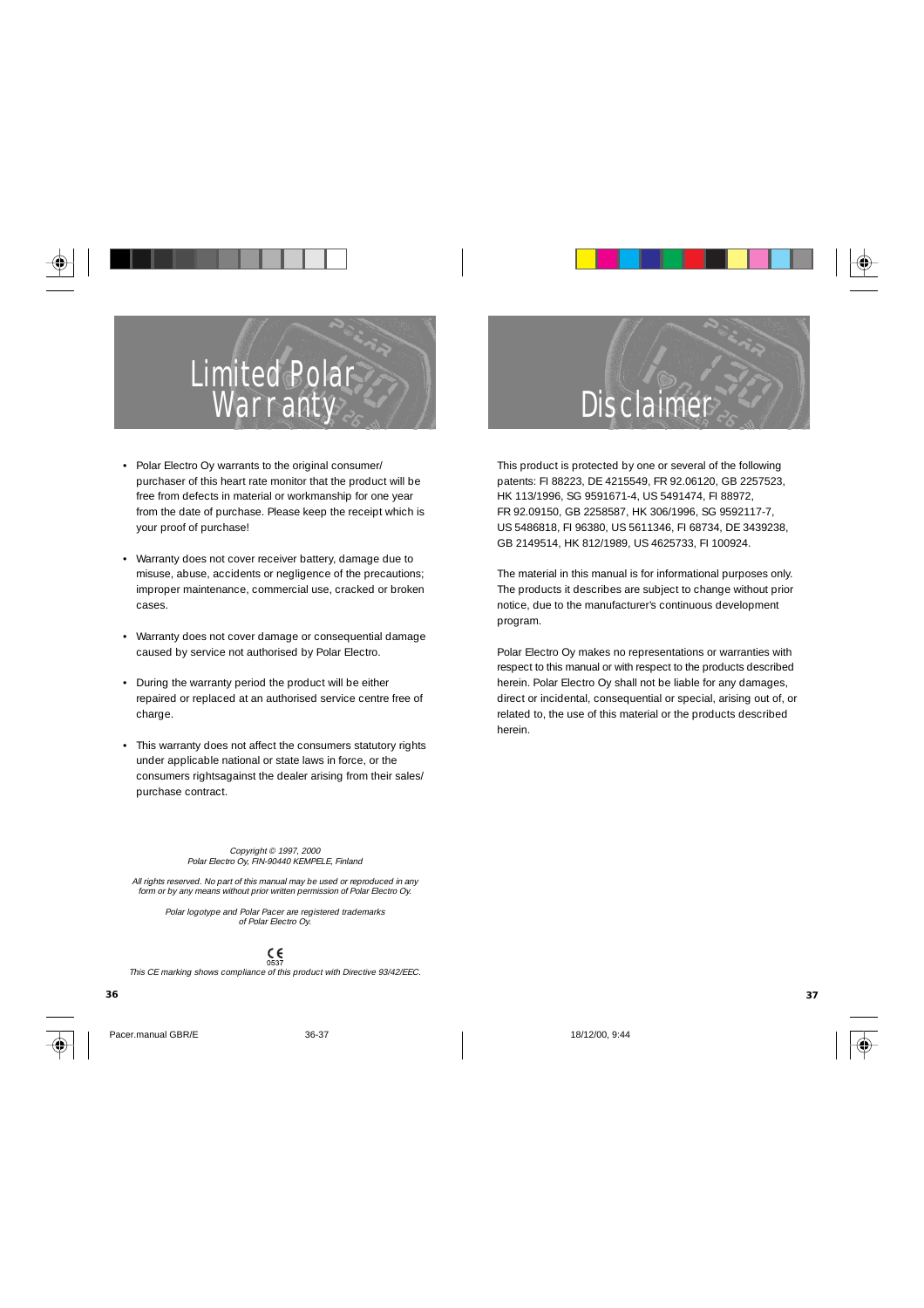# Limited Polar **Warranty**

- Polar Electro Oy warrants to the original consumer/ purchaser of this heart rate monitor that the product will be free from defects in material or workmanship for one year from the date of purchase. Please keep the receipt which is your proof of purchase!
- Warranty does not cover receiver battery, damage due to misuse, abuse, accidents or negligence of the precautions; improper maintenance, commercial use, cracked or broken cases.
- Warranty does not cover damage or consequential damage caused by service not authorised by Polar Electro.
- During the warranty period the product will be either repaired or replaced at an authorised service centre free of charge.
- This warranty does not affect the consumers statutory rights under applicable national or state laws in force, or the consumers rightsagainst the dealer arising from their sales/ purchase contract.

#### Copyright © 1997, 2000 Polar Electro Oy, FIN-90440 KEMPELE, Finland

All rights reserved. No part of this manual may be used or reproduced in any form or by any means without prior written permission of Polar Electro Oy.

> Polar logotype and Polar Pacer are registered trademarks of Polar Electro Oy.

> > $\zeta_{\rm 637}$

This CE marking shows compliance of this product with Directive 93/42/EEC.



This product is protected by one or several of the following patents: FI 88223, DE 4215549, FR 92.06120, GB 2257523, HK 113/1996, SG 9591671-4, US 5491474, FI 88972, FR 92.09150, GB 2258587, HK 306/1996, SG 9592117-7, US 5486818, FI 96380, US 5611346, FI 68734, DE 3439238, GB 2149514, HK 812/1989, US 4625733, FI 100924.

The material in this manual is for informational purposes only. The products it describes are subject to change without prior notice, due to the manufacturer's continuous development program.

Polar Electro Oy makes no representations or warranties with respect to this manual or with respect to the products described herein. Polar Electro Oy shall not be liable for any damages, direct or incidental, consequential or special, arising out of, or related to, the use of this material or the products described herein.

**36 37**



Pacer.manual GBR/E 36-37 36-37 18/12/00, 9:44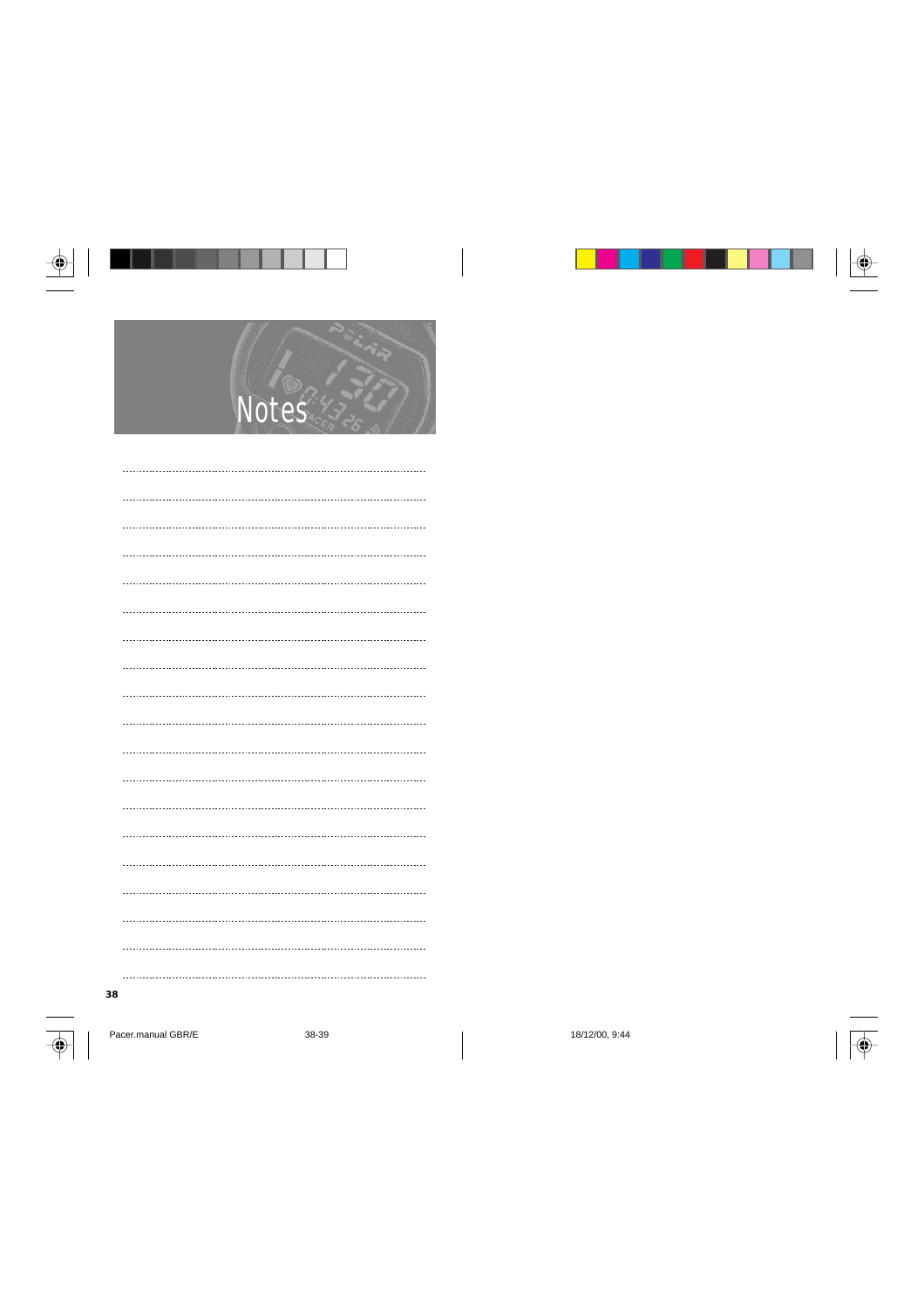|                    | $\overline{\mathsf{p}}$ |                |  |
|--------------------|-------------------------|----------------|--|
|                    |                         |                |  |
|                    |                         |                |  |
|                    |                         |                |  |
|                    |                         |                |  |
|                    |                         |                |  |
|                    |                         |                |  |
|                    |                         |                |  |
|                    |                         |                |  |
|                    |                         |                |  |
|                    |                         |                |  |
|                    |                         |                |  |
|                    |                         |                |  |
|                    |                         |                |  |
|                    |                         |                |  |
|                    |                         |                |  |
| 38                 |                         |                |  |
| Pacer.manual GBR/E | 38-39                   | 18/12/00, 9:44 |  |
|                    |                         |                |  |